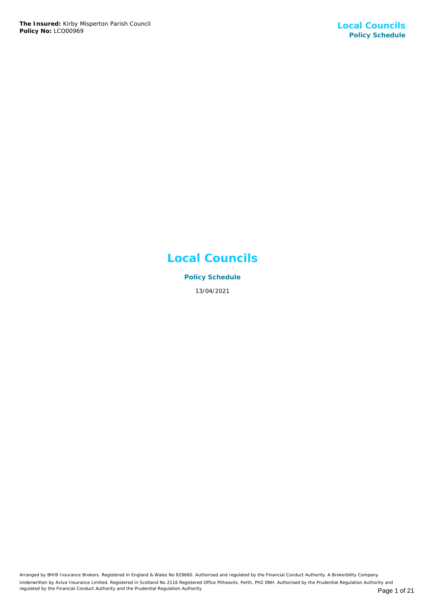## **Local Councils**

**Policy Schedule** 13/04/2021

Arranged by BHIB Insurance Brokers. Registered in England & Wales No 829660. Authorised and regulated by the Financial Conduct Authority. A Brokerbility Company. Underwritten by Aviva Insurance Limited. Registered in Scotland No 2116 Registered Office Pitheavlis, Perth, PH2 0NH. Authorised by the Prudential Regulation Authority and regulated by the Financial Conduct Authority and the Prudential Regulation Authority **Page 1 of 21** Page 1 of 21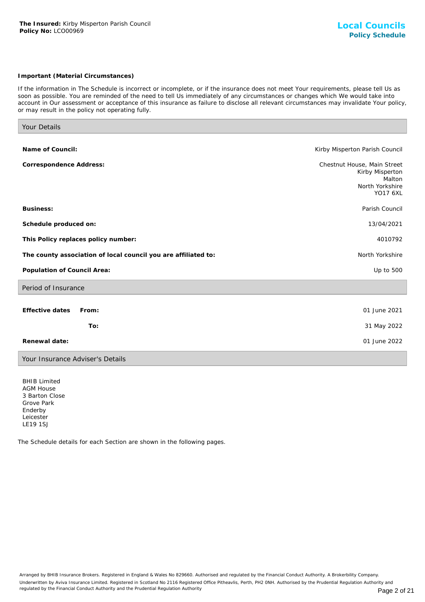## *Important (Material Circumstances)*

*If the information in The Schedule is incorrect or incomplete, or if the insurance does not meet Your requirements, please tell Us as soon as possible. You are reminded of the need to tell Us immediately of any circumstances or changes which We would take into account in Our assessment or acceptance of this insurance as failure to disclose all relevant circumstances may invalidate Your policy, or may result in the policy not operating fully.*

| Your Details                                                   |                                                                                                |
|----------------------------------------------------------------|------------------------------------------------------------------------------------------------|
|                                                                |                                                                                                |
| Name of Council:                                               | Kirby Misperton Parish Council                                                                 |
| Correspondence Address:                                        | Chestnut House, Main Street<br>Kirby Misperton<br>Malton<br>North Yorkshire<br><b>YO17 6XL</b> |
| Business:                                                      | Parish Council                                                                                 |
| Schedule produced on:                                          | 13/04/2021                                                                                     |
| This Policy replaces policy number:                            | 4010792                                                                                        |
| The county association of local council you are affiliated to: | North Yorkshire                                                                                |
| Population of Council Area:                                    | Up to 500                                                                                      |
| Period of Insurance                                            |                                                                                                |
| Effective dates<br>From:                                       | 01 June 2021                                                                                   |
| To:                                                            | 31 May 2022                                                                                    |
| Renewal date:                                                  | 01 June 2022                                                                                   |
| Your Insurance Adviser's Details                               |                                                                                                |

BHIB Limited AGM House 3 Barton Close Grove Park Enderby Leicester LE19 1SJ

The Schedule details for each Section are shown in the following pages.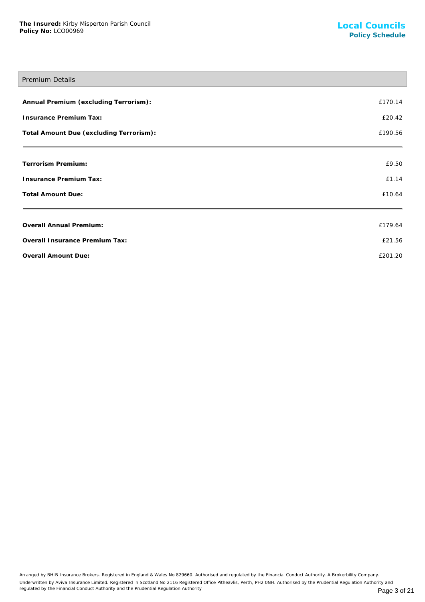# Premium Details **Annual Premium (excluding Terrorism):** £170.14 **Insurance Premium Tax:** £20.42 Total Amount Due (excluding Terrorism): **Election Amount 2018** 20190.56 **Terrorism Premium:** £9.50 **Insurance Premium Tax:** £1.14 **Total Amount Due:** £10.64 **Overall Annual Premium:** £179.64 **Overall Insurance Premium Tax:** £21.56

**Overall Amount Due:** £201.20

Arranged by BHIB Insurance Brokers. Registered in England & Wales No 829660. Authorised and regulated by the Financial Conduct Authority. A Brokerbility Company. Underwritten by Aviva Insurance Limited. Registered in Scotland No 2116 Registered Office Pitheavlis, Perth, PH2 0NH. Authorised by the Prudential Regulation Authority and regulated by the Financial Conduct Authority and the Prudential Regulation Authority **Page 3 of 21** Page 3 of 21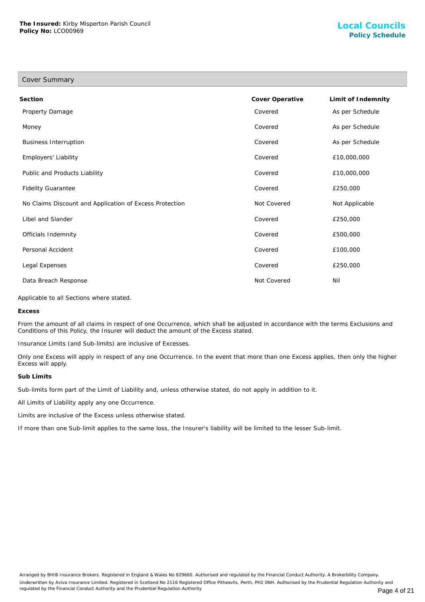Cover Summary

## **Section Cover Operative Limit of Indemnity** Property Damage **Covered As per Schedule** As per Schedule Money Covered As per Schedule Business Interruption Covered As per Schedule Employers' Liability Covered £10,000,000 Public and Products Liability **Covered 2006** 2009,000 Covered 2009,000,000 Fidelity Guarantee **E250,000 E250,000 E250,000 E250,000 E250,000 E250,000** No Claims Discount and Application of Excess Protection Not Covered Not Covered Not Applicable Libel and Slander Covered £250,000 Officials Indemnity Covered £500,000 Personal Accident Covered £100,000 Legal Expenses Covered £250,000 Data Breach Response Not Covered Nil

Applicable to all Sections where stated.

**Excess**

From the amount of all claims in respect of one Occurrence, which shall be adjusted in accordance with the terms Exclusions and Conditions of this Policy, the Insurer will deduct the amount of the Excess stated.

Insurance Limits (and Sub-limits) are inclusive of Excesses.

Only one Excess will apply in respect of any one Occurrence. In the event that more than one Excess applies, then only the higher Excess will apply.

#### **Sub Limits**

Sub-limits form part of the Limit of Liability and, unless otherwise stated, do not apply in addition to it.

All Limits of Liability apply any one Occurrence.

Limits are inclusive of the Excess unless otherwise stated.

If more than one Sub-limit applies to the same loss, the Insurer's liability will be limited to the lesser Sub-limit.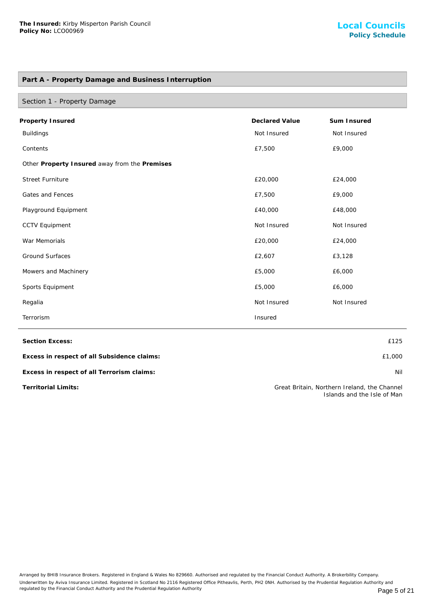## **Part A - Property Damage and Business Interruption**

| Section 1 - Property Damage                   |                       |             |
|-----------------------------------------------|-----------------------|-------------|
| Property Insured                              | <b>Declared Value</b> | Sum Insured |
| <b>Buildings</b>                              | Not Insured           | Not Insured |
| Contents                                      | £7,500                | £9,000      |
| Other Property Insured away from the Premises |                       |             |
| <b>Street Furniture</b>                       | £20,000               | £24,000     |
| Gates and Fences                              | £7,500                | £9,000      |
| Playground Equipment                          | £40,000               | £48,000     |
| <b>CCTV Equipment</b>                         | Not Insured           | Not Insured |
| War Memorials                                 | £20,000               | £24,000     |
| <b>Ground Surfaces</b>                        | £2,607                | £3,128      |
| Mowers and Machinery                          | £5,000                | £6,000      |
| Sports Equipment                              | £5,000                | £6,000      |
| Regalia                                       | Not Insured           | Not Insured |
| Terrorism                                     | Insured               |             |

**Section Excess:** £125

**Excess in respect of all Subsidence claims:** £1,000

**Excess in respect of all Terrorism claims:** Nil

**Territorial Limits:** Great Britain, Northern Ireland, the Channel Islands and the Isle of Man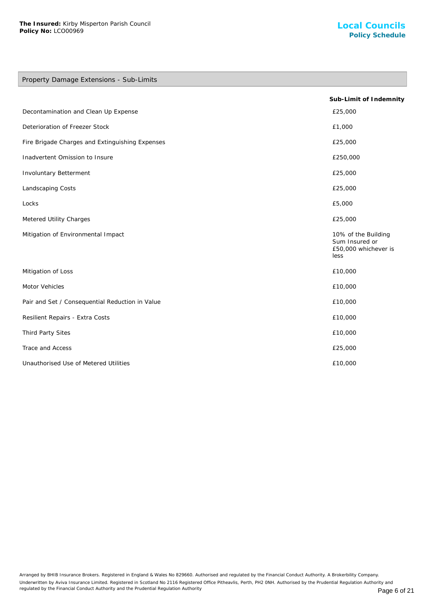## Property Damage Extensions - Sub-Limits

|                                                 | Sub-Limit of Indemnity                                                |
|-------------------------------------------------|-----------------------------------------------------------------------|
| Decontamination and Clean Up Expense            | £25,000                                                               |
| Deterioration of Freezer Stock                  | £1,000                                                                |
| Fire Brigade Charges and Extinguishing Expenses | £25,000                                                               |
| Inadvertent Omission to Insure                  | £250,000                                                              |
| Involuntary Betterment                          | £25,000                                                               |
| Landscaping Costs                               | £25,000                                                               |
| Locks                                           | £5,000                                                                |
| Metered Utility Charges                         | £25,000                                                               |
| Mitigation of Environmental Impact              | 10% of the Building<br>Sum Insured or<br>£50,000 whichever is<br>less |
| Mitigation of Loss                              | £10,000                                                               |
| Motor Vehicles                                  | £10,000                                                               |
| Pair and Set / Consequential Reduction in Value | £10,000                                                               |
| Resilient Repairs - Extra Costs                 | £10,000                                                               |
| Third Party Sites                               | £10,000                                                               |
| Trace and Access                                | £25,000                                                               |
| Unauthorised Use of Metered Utilities           | £10,000                                                               |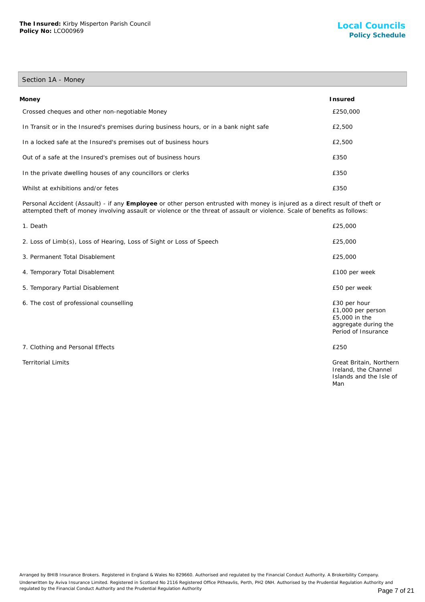## Section 1A - Money

| Money                                                                                  | <b>Insured</b> |
|----------------------------------------------------------------------------------------|----------------|
| Crossed cheques and other non-negotiable Money                                         | £250,000       |
| In Transit or in the Insured's premises during business hours, or in a bank night safe | £2,500         |
| In a locked safe at the Insured's premises out of business hours                       | £2,500         |
| Out of a safe at the Insured's premises out of business hours                          | £350           |
| In the private dwelling houses of any councillors or clerks                            | £350           |
| Whilst at exhibitions and/or fetes                                                     | £350           |

Personal Accident (Assault) - if any **Employee** or other person entrusted with money is injured as a direct result of theft or attempted theft of money involving assault or violence or the threat of assault or violence. Scale of benefits as follows:

| 1. Death                                                             | £25,000                                                                                           |
|----------------------------------------------------------------------|---------------------------------------------------------------------------------------------------|
| 2. Loss of Limb(s), Loss of Hearing, Loss of Sight or Loss of Speech | £25,000                                                                                           |
| 3. Permanent Total Disablement                                       | £25,000                                                                                           |
| 4. Temporary Total Disablement                                       | £100 per week                                                                                     |
| 5. Temporary Partial Disablement                                     | £50 per week                                                                                      |
| 6. The cost of professional counselling                              | £30 per hour<br>£1,000 per person<br>£5,000 in the<br>aggregate during the<br>Period of Insurance |
| 7. Clothing and Personal Effects                                     | £250                                                                                              |
| <b>Territorial Limits</b>                                            | Great Britain, Northern<br>Ireland, the Channel<br>Islands and the Isle of<br>Man                 |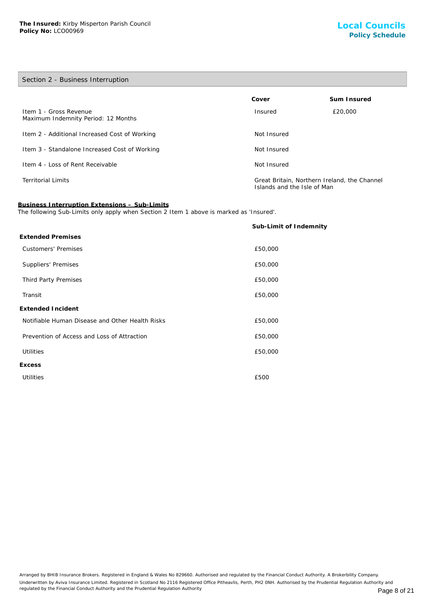## Section 2 - Business Interruption

|                                                               | Cover                                                                       | Sum Insured |
|---------------------------------------------------------------|-----------------------------------------------------------------------------|-------------|
| Item 1 - Gross Revenue<br>Maximum Indemnity Period: 12 Months | Insured                                                                     | £20,000     |
| Item 2 - Additional Increased Cost of Working                 | Not Insured                                                                 |             |
| Item 3 - Standalone Increased Cost of Working                 | Not Insured                                                                 |             |
| Item 4 - Loss of Rent Receivable                              | Not Insured                                                                 |             |
| <b>Territorial Limits</b>                                     | Great Britain, Northern Ireland, the Channel<br>Islands and the Isle of Man |             |

#### **Business Interruption Extensions – Sub-Limits**

The following Sub-Limits only apply when Section 2 Item 1 above is marked as 'Insured'.

|                                                 | Sub-Limit of Indemnity |
|-------------------------------------------------|------------------------|
| <b>Extended Premises</b>                        |                        |
| <b>Customers' Premises</b>                      | £50,000                |
| Suppliers' Premises                             | £50,000                |
| Third Party Premises                            | £50,000                |
| Transit                                         | £50,000                |
| Extended Incident                               |                        |
| Notifiable Human Disease and Other Health Risks | £50,000                |
| Prevention of Access and Loss of Attraction     | £50,000                |
| <b>Utilities</b>                                | £50,000                |
| Excess                                          |                        |
| <b>Utilities</b>                                | £500                   |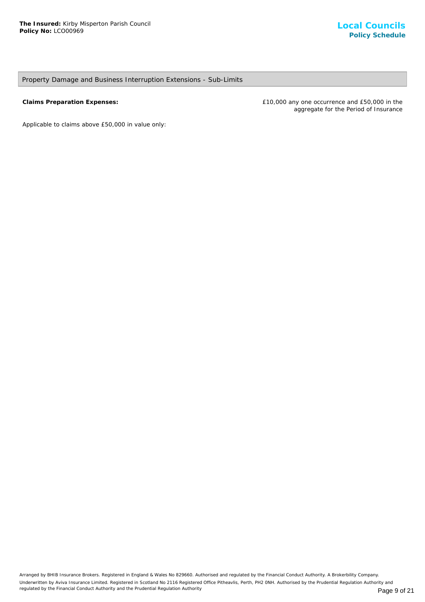## Property Damage and Business Interruption Extensions - Sub-Limits

**Claims Preparation Expenses:** £10,000 any one occurrence and £50,000 in the aggregate for the Period of Insurance

*Applicable to claims above £50,000 in value only*: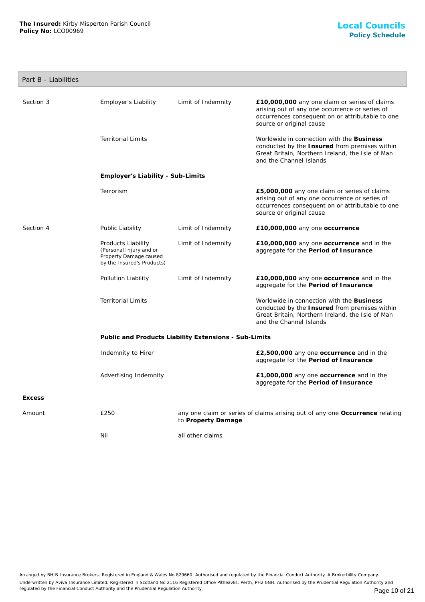## Part B - Liabilities

| Section 3     | <b>Employer's Liability</b>                                                                           | Limit of Indemnity                                    | £10,000,000 any one claim or series of claims<br>arising out of any one occurrence or series of<br>occurrences consequent on or attributable to one<br>source or original cause |  |  |
|---------------|-------------------------------------------------------------------------------------------------------|-------------------------------------------------------|---------------------------------------------------------------------------------------------------------------------------------------------------------------------------------|--|--|
|               | <b>Territorial Limits</b>                                                                             |                                                       | Worldwide in connection with the Business<br>conducted by the Insured from premises within<br>Great Britain, Northern Ireland, the Isle of Man<br>and the Channel Islands       |  |  |
|               | Employer's Liability - Sub-Limits                                                                     |                                                       |                                                                                                                                                                                 |  |  |
|               | Terrorism                                                                                             |                                                       | £5,000,000 any one claim or series of claims<br>arising out of any one occurrence or series of<br>occurrences consequent on or attributable to one<br>source or original cause  |  |  |
| Section 4     | Public Liability                                                                                      | Limit of Indemnity                                    | £10,000,000 any one occurrence                                                                                                                                                  |  |  |
|               | Products Liability<br>(Personal Injury and or<br>Property Damage caused<br>by the Insured's Products) | Limit of Indemnity                                    | £10,000,000 any one occurrence and in the<br>aggregate for the Period of Insurance                                                                                              |  |  |
|               | Pollution Liability                                                                                   | Limit of Indemnity                                    | £10,000,000 any one occurrence and in the<br>aggregate for the Period of Insurance                                                                                              |  |  |
|               | <b>Territorial Limits</b>                                                                             |                                                       | Worldwide in connection with the Business<br>conducted by the Insured from premises within<br>Great Britain, Northern Ireland, the Isle of Man<br>and the Channel Islands       |  |  |
|               |                                                                                                       | Public and Products Liability Extensions - Sub-Limits |                                                                                                                                                                                 |  |  |
|               | Indemnity to Hirer                                                                                    |                                                       | £2,500,000 any one occurrence and in the<br>aggregate for the Period of Insurance                                                                                               |  |  |
|               | Advertising Indemnity                                                                                 |                                                       | £1,000,000 any one occurrence and in the<br>aggregate for the Period of Insurance                                                                                               |  |  |
| <b>Excess</b> |                                                                                                       |                                                       |                                                                                                                                                                                 |  |  |
| Amount        | £250                                                                                                  | to Property Damage                                    | any one claim or series of claims arising out of any one Occurrence relating                                                                                                    |  |  |
|               | Nil                                                                                                   | all other claims                                      |                                                                                                                                                                                 |  |  |

Arranged by BHIB Insurance Brokers. Registered in England & Wales No 829660. Authorised and regulated by the Financial Conduct Authority. A Brokerbility Company. Underwritten by Aviva Insurance Limited. Registered in Scotland No 2116 Registered Office Pitheavlis, Perth, PH2 0NH. Authorised by the Prudential Regulation Authority and regulated by the Financial Conduct Authority and the Prudential Regulation Authority **Page 10 of 21** Page 10 of 21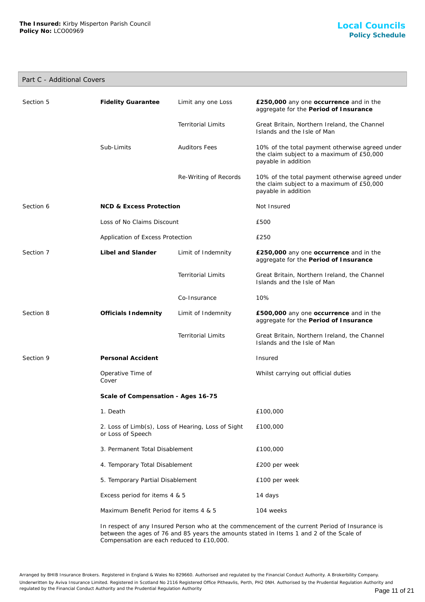## Part C - Additional Covers

| Section 5 | <b>Fidelity Guarantee</b>                                               | Limit any one Loss        | £250,000 any one occurrence and in the<br>aggregate for the Period of Insurance                                     |
|-----------|-------------------------------------------------------------------------|---------------------------|---------------------------------------------------------------------------------------------------------------------|
|           |                                                                         | <b>Territorial Limits</b> | Great Britain, Northern Ireland, the Channel<br>Islands and the Isle of Man                                         |
|           | Sub-Limits                                                              | <b>Auditors Fees</b>      | 10% of the total payment otherwise agreed under<br>the claim subject to a maximum of £50,000<br>payable in addition |
|           |                                                                         | Re-Writing of Records     | 10% of the total payment otherwise agreed under<br>the claim subject to a maximum of £50,000<br>payable in addition |
| Section 6 | <b>NCD &amp; Excess Protection</b>                                      |                           | Not Insured                                                                                                         |
|           | Loss of No Claims Discount                                              |                           | £500                                                                                                                |
|           | Application of Excess Protection                                        |                           | £250                                                                                                                |
| Section 7 | Libel and Slander                                                       | Limit of Indemnity        | £250,000 any one occurrence and in the<br>aggregate for the Period of Insurance                                     |
|           |                                                                         | <b>Territorial Limits</b> | Great Britain, Northern Ireland, the Channel<br>Islands and the Isle of Man                                         |
|           |                                                                         | Co-Insurance              | 10%                                                                                                                 |
| Section 8 | Officials Indemnity                                                     | Limit of Indemnity        | £500,000 any one occurrence and in the<br>aggregate for the Period of Insurance                                     |
|           |                                                                         | <b>Territorial Limits</b> | Great Britain, Northern Ireland, the Channel<br>Islands and the Isle of Man                                         |
| Section 9 | Personal Accident                                                       |                           | Insured                                                                                                             |
|           | Operative Time of<br>Cover                                              |                           | Whilst carrying out official duties                                                                                 |
|           | Scale of Compensation - Ages 16-75                                      |                           |                                                                                                                     |
|           | 1. Death                                                                |                           | £100,000                                                                                                            |
|           | 2. Loss of Limb(s), Loss of Hearing, Loss of Sight<br>or Loss of Speech |                           | £100,000                                                                                                            |
|           | 3. Permanent Total Disablement                                          |                           | £100,000                                                                                                            |
|           | 4. Temporary Total Disablement                                          |                           | £200 per week                                                                                                       |
|           | 5. Temporary Partial Disablement                                        |                           | £100 per week                                                                                                       |
|           | Excess period for items 4 & 5                                           |                           | 14 days                                                                                                             |
|           | Maximum Benefit Period for items 4 & 5                                  |                           | 104 weeks                                                                                                           |
|           |                                                                         |                           |                                                                                                                     |

In respect of any Insured Person who at the commencement of the current Period of Insurance is between the ages of 76 and 85 years the amounts stated in Items 1 and 2 of the Scale of Compensation are each reduced to £10,000.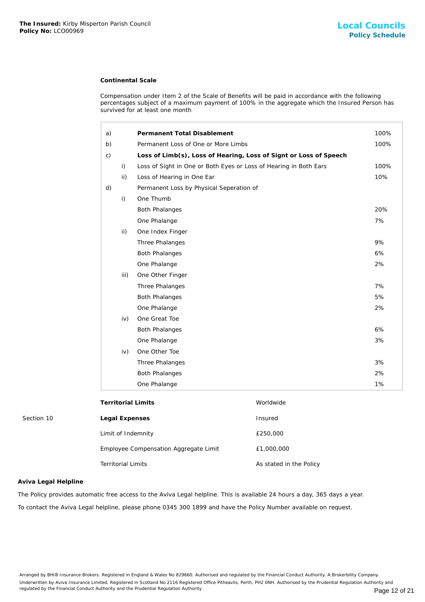## **Continental Scale**

| The Insured: Kirby Misperton Parish Council<br>Policy No: LCO00969 |                           | <b>Local Council</b><br><b>Policy Schedu</b>                      |                                                                                                                                                                                                    |      |
|--------------------------------------------------------------------|---------------------------|-------------------------------------------------------------------|----------------------------------------------------------------------------------------------------------------------------------------------------------------------------------------------------|------|
|                                                                    |                           | <b>Continental Scale</b>                                          |                                                                                                                                                                                                    |      |
|                                                                    |                           | survived for at least one month                                   | Compensation under Item 2 of the Scale of Benefits will be paid in accordance with the following<br>percentages subject of a maximum payment of 100% in the aggregate which the Insured Person has |      |
|                                                                    | a)                        | Permanent Total Disablement                                       |                                                                                                                                                                                                    | 100% |
|                                                                    | b)                        | Permanent Loss of One or More Limbs                               |                                                                                                                                                                                                    | 100% |
|                                                                    | $\mathsf{C}$ )            |                                                                   | Loss of Limb(s), Loss of Hearing, Loss of Signt or Loss of Speech                                                                                                                                  |      |
|                                                                    | i)                        | Loss of Sight in One or Both Eyes or Loss of Hearing in Both Ears |                                                                                                                                                                                                    | 100% |
|                                                                    | ii)                       | Loss of Hearing in One Ear                                        |                                                                                                                                                                                                    | 10%  |
|                                                                    | d)                        | Permanent Loss by Physical Seperation of                          |                                                                                                                                                                                                    |      |
|                                                                    | i)                        | One Thumb                                                         |                                                                                                                                                                                                    |      |
|                                                                    |                           | <b>Both Phalanges</b>                                             |                                                                                                                                                                                                    | 20%  |
|                                                                    |                           | One Phalange                                                      |                                                                                                                                                                                                    | 7%   |
|                                                                    | ii)                       | One Index Finger                                                  |                                                                                                                                                                                                    |      |
|                                                                    |                           | Three Phalanges                                                   |                                                                                                                                                                                                    | 9%   |
|                                                                    |                           | <b>Both Phalanges</b>                                             |                                                                                                                                                                                                    | 6%   |
|                                                                    |                           | One Phalange                                                      |                                                                                                                                                                                                    | 2%   |
|                                                                    | iii)                      | One Other Finger                                                  |                                                                                                                                                                                                    |      |
|                                                                    |                           | Three Phalanges                                                   |                                                                                                                                                                                                    | 7%   |
|                                                                    |                           | <b>Both Phalanges</b>                                             |                                                                                                                                                                                                    | 5%   |
|                                                                    |                           | One Phalange                                                      |                                                                                                                                                                                                    | 2%   |
|                                                                    | iv)                       | One Great Toe                                                     |                                                                                                                                                                                                    |      |
|                                                                    |                           | <b>Both Phalanges</b>                                             |                                                                                                                                                                                                    | 6%   |
|                                                                    |                           | One Phalange                                                      |                                                                                                                                                                                                    | 3%   |
|                                                                    | iv)                       | One Other Toe                                                     |                                                                                                                                                                                                    |      |
|                                                                    |                           | Three Phalanges                                                   |                                                                                                                                                                                                    | 3%   |
|                                                                    |                           | <b>Both Phalanges</b>                                             |                                                                                                                                                                                                    | 2%   |
|                                                                    |                           | One Phalange                                                      |                                                                                                                                                                                                    | 1%   |
|                                                                    | <b>Territorial Limits</b> |                                                                   | Worldwide                                                                                                                                                                                          |      |
| Section 10                                                         | Legal Expenses            |                                                                   | Insured                                                                                                                                                                                            |      |
|                                                                    | Limit of Indemnity        |                                                                   | £250,000                                                                                                                                                                                           |      |
|                                                                    |                           | Employee Compensation Aggregate Limit                             | £1,000,000                                                                                                                                                                                         |      |
|                                                                    | <b>Territorial Limits</b> |                                                                   | As stated in the Policy                                                                                                                                                                            |      |
| Aviva Legal Helpline                                               |                           |                                                                   |                                                                                                                                                                                                    |      |
|                                                                    |                           |                                                                   | The Policy provides automatic free access to the Aviva Legal helpline. This is available 24 hours a day, 365 days a year.                                                                          |      |
|                                                                    |                           |                                                                   | To contact the Aviva Legal helpline, please phone 0345 300 1899 and have the Policy Number available on request.                                                                                   |      |

| Territorial Limits                    | Worldwide               |
|---------------------------------------|-------------------------|
| Legal Expenses                        | Insured                 |
| Limit of Indemnity                    | £250,000                |
| Employee Compensation Aggregate Limit | £1,000,000              |
| <b>Territorial Limits</b>             | As stated in the Policy |

## **Aviva Legal Helpline**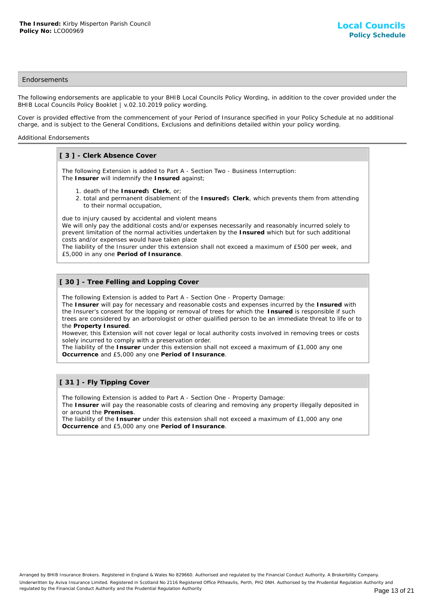## **Endorsements**

The following endorsements are applicable to your BHIB Local Councils Policy Wording, in addition to the cover provided under the BHIB Local Councils Policy Booklet | v.02.10.2019 policy wording.

Cover is provided effective from the commencement of your Period of Insurance specified in your Policy Schedule at no additional charge, and is subject to the General Conditions, Exclusions and definitions detailed within your policy wording.

## Additional Endorsements

## **[ 3 ] - Clerk Absence Cover**

The following Extension is added to Part A - Section Two - Business Interruption: The **Insurer** will indemnify the **Insured** against;

- 1. death of the **Insured**'s **Clerk**, or;
- 2. total and permanent disablement of the Insured's Clerk, which prevents them from attending to their normal occupation,

due to injury caused by accidental and violent means

We will only pay the additional costs and/or expenses necessarily and reasonably incurred solely to prevent limitation of the normal activities undertaken by the **Insured** which but for such additional costs and/or expenses would have taken place

The liability of the Insurer under this extension shall not exceed a maximum of £500 per week, and £5,000 in any one **Period of Insurance**.

## **[ 30 ] - Tree Felling and Lopping Cover**

The following Extension is added to Part A - Section One - Property Damage:

The **Insurer** will pay for necessary and reasonable costs and expenses incurred by the **Insured** with the Insurer's consent for the lopping or removal of trees for which the **Insured** is responsible if such trees are considered by an arborologist or other qualified person to be an immediate threat to life or to the **Property Insured**.

However, this Extension will not cover legal or local authority costs involved in removing trees or costs solely incurred to comply with a preservation order.

The liability of the **Insurer** under this extension shall not exceed a maximum of £1,000 any one **Occurrence** and £5,000 any one **Period of Insurance**.

## **[ 31 ] - Fly Tipping Cover**

The following Extension is added to Part A - Section One - Property Damage:

The **Insurer** will pay the reasonable costs of clearing and removing any property illegally deposited in or around the **Premises**.

The liability of the **Insurer** under this extension shall not exceed a maximum of £1,000 any one **Occurrence** and £5,000 any one **Period of Insurance**.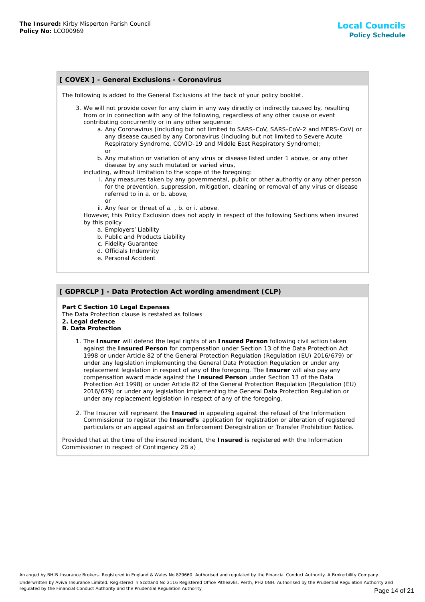| [ COVEX ] - General Exclusions - Coronavirus                                                                                                                                                                                                                                                                                                                                                                                                                                                               |  |  |
|------------------------------------------------------------------------------------------------------------------------------------------------------------------------------------------------------------------------------------------------------------------------------------------------------------------------------------------------------------------------------------------------------------------------------------------------------------------------------------------------------------|--|--|
| The following is added to the General Exclusions at the back of your policy booklet.                                                                                                                                                                                                                                                                                                                                                                                                                       |  |  |
| 3. We will not provide cover for any claim in any way directly or indirectly caused by, resulting<br>from or in connection with any of the following, regardless of any other cause or event<br>contributing concurrently or in any other sequence:<br>a. Any Coronavirus (including but not limited to SARS-CoV, SARS-CoV-2 and MERS-CoV) or<br>any disease caused by any Coronavirus (including but not limited to Severe Acute<br>Respiratory Syndrome, COVID-19 and Middle East Respiratory Syndrome); |  |  |
| or<br>b. Any mutation or variation of any virus or disease listed under 1 above, or any other<br>disease by any such mutated or varied virus,<br>including, without limitation to the scope of the foregoing:<br>i. Any measures taken by any governmental, public or other authority or any other person<br>for the prevention, suppression, mitigation, cleaning or removal of any virus or disease<br>referred to in a. or b. above,<br>or                                                              |  |  |
| ii. Any fear or threat of a., b. or i. above.<br>However, this Policy Exclusion does not apply in respect of the following Sections when insured<br>by this policy<br>a. Employers' Liability<br>b. Public and Products Liability                                                                                                                                                                                                                                                                          |  |  |
| c. Fidelity Guarantee<br>d. Officials Indemnity<br>e. Personal Accident                                                                                                                                                                                                                                                                                                                                                                                                                                    |  |  |

## **[ GDPRCLP ] - Data Protection Act wording amendment (CLP)**

**Part C Section 10 Legal Expenses** The Data Protection clause is restated as follows **2. Legal defence**

- **B. Data Protection**
	- 1. The Insurer will defend the legal rights of an Insured Person following civil action taken against the **Insured Person** for compensation under Section 13 of the Data Protection Act 1998 or under Article 82 of the General Protection Regulation (Regulation (EU) 2016/679) or under any legislation implementing the General Data Protection Regulation or under any replacement legislation in respect of any of the foregoing. The **Insurer** will also pay any compensation award made against the **Insured Person** under Section 13 of the Data Protection Act 1998) or under Article 82 of the General Protection Regulation (Regulation (EU) 2016/679) or under any legislation implementing the General Data Protection Regulation or under any replacement legislation in respect of any of the foregoing.
	- 2. The Insurer will represent the Insured in appealing against the refusal of the Information Commissioner to register the **Insured's** application for registration or alteration of registered particulars or an appeal against an Enforcement Deregistration or Transfer Prohibition Notice.

Provided that at the time of the insured incident, the **Insured** is registered with the Information Commissioner in respect of Contingency 2B a)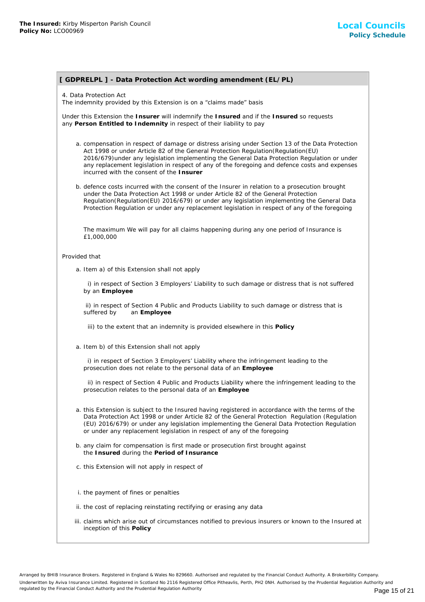## **[ GDPRELPL ] - Data Protection Act wording amendment (EL/PL)**

4. Data Protection Act

The indemnity provided by this Extension is on a "claims made" basis

Under this Extension the **Insurer** will indemnify the **Insured** and if the **Insured** so requests any **Person Entitled to Indemnity** in respect of their liability to pay

- a. compensation in respect of damage or distress arising under Section 13 of the Data Protection Act 1998 or under Article 82 of the General Protection Regulation(Regulation(EU) 2016/679)under any legislation implementing the General Data Protection Regulation or under any replacement legislation in respect of any of the foregoing and defence costs and expenses incurred with the consent of the **Insurer**
- b. defence costs incurred with the consent of the Insurer in relation to a prosecution brought under the Data Protection Act 1998 or under Article 82 of the General Protection Regulation(Regulation(EU) 2016/679) or under any legislation implementing the General Data Protection Regulation or under any replacement legislation in respect of any of the foregoing

The maximum We will pay for all claims happening during any one period of Insurance is £1,000,000

#### Provided that

a. Item a) of this Extension shall not apply

 i) in respect of Section 3 Employers' Liability to such damage or distress that is not suffered by an **Employee**

 ii) in respect of Section 4 Public and Products Liability to such damage or distress that is suffered by an **Employee**

iii) to the extent that an indemnity is provided elsewhere in this **Policy**

a. Item b) of this Extension shall not apply

 i) in respect of Section 3 Employers' Liability where the infringement leading to the prosecution does not relate to the personal data of an **Employee**

 ii) in respect of Section 4 Public and Products Liability where the infringement leading to the prosecution relates to the personal data of an **Employee**

- a. this Extension is subject to the Insured having registered in accordance with the terms of the Data Protection Act 1998 or under Article 82 of the General Protection Regulation (Regulation (EU) 2016/679) or under any legislation implementing the General Data Protection Regulation or under any replacement legislation in respect of any of the foregoing
- b. any claim for compensation is first made or prosecution first brought against the **Insured** during the **Period of Insurance**
- c. this Extension will not apply in respect of
- i. the payment of fines or penalties
- ii. the cost of replacing reinstating rectifying or erasing any data
- iii. claims which arise out of circumstances notified to previous insurers or known to the Insured at inception of this **Policy**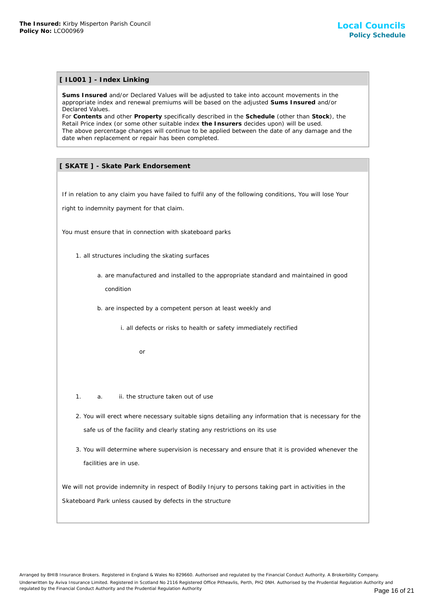## **[ IL001 ] - Index Linking**

**Sums Insured** and/or Declared Values will be adjusted to take into account movements in the appropriate index and renewal premiums will be based on the adjusted **Sums Insured** and/or Declared Values.

For **Contents** and other **Property** specifically described in the **Schedule** (other than **Stock**), the Retail Price index (or some other suitable index **the Insurers** decides upon) will be used. The above percentage changes will continue to be applied between the date of any damage and the date when replacement or repair has been completed. The Internal nature of the structure and the structure of the structure of the structure of the structure Values will be algotted to perfect the structure Values.<br>
Summarizated and the Property specifically described by de

## **[ SKATE ] - Skate Park Endorsement**

If in relation to any claim you have failed to fulfil any of the following conditions, You will lose Your

right to indemnity payment for that claim.

You must ensure that in connection with skateboard parks

- 1. all structures including the skating surfaces
	- a. are manufactured and installed to the appropriate standard and maintained in good condition
	- b. are inspected by a competent person at least weekly and
		- i. all defects or risks to health or safety immediately rectified

or

- 1. a. ii. the structure taken out of use
- 2. You will erect where necessary suitable signs detailing any information that is necessary for the safe us of the facility and clearly stating any restrictions on its use
- 3. You will determine where supervision is necessary and ensure that it is provided whenever the facilities are in use.

We will not provide indemnity in respect of Bodily Injury to persons taking part in activities in the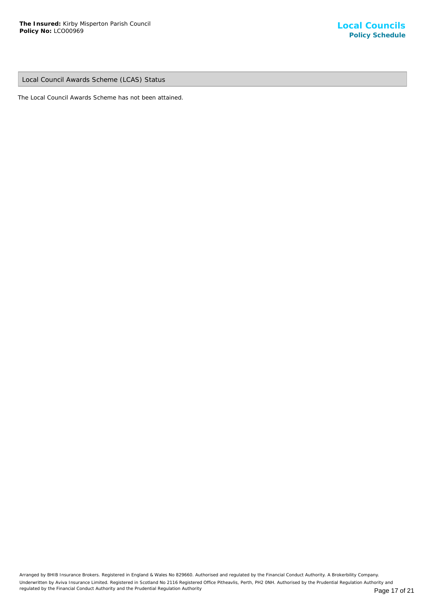Local Council Awards Scheme (LCAS) Status

The Local Council Awards Scheme has not been attained.

Arranged by BHIB Insurance Brokers. Registered in England & Wales No 829660. Authorised and regulated by the Financial Conduct Authority. A Brokerbility Company. Underwritten by Aviva Insurance Limited. Registered in Scotland No 2116 Registered Office Pitheavlis, Perth, PH2 0NH. Authorised by the Prudential Regulation Authority and regulated by the Financial Conduct Authority and the Prudential Regulation Authority **Page 17 of 21** Page 17 of 21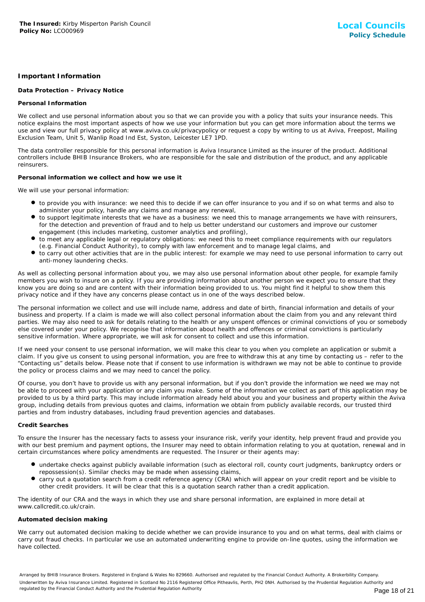## **Important Information**

## **Data Protection – Privacy Notice**

## **Personal Information**

We collect and use personal information about you so that we can provide you with a policy that suits your insurance needs. This notice explains the most important aspects of how we use your information but you can get more information about the terms we use and view our full privacy policy at www.aviva.co.uk/privacypolicy or request a copy by writing to us at Aviva, Freepost, Mailing Exclusion Team, Unit 5, Wanlip Road Ind Est, Syston, Leicester LE7 1PD.

The data controller responsible for this personal information is Aviva Insurance Limited as the insurer of the product. Additional controllers include BHIB Insurance Brokers, who are responsible for the sale and distribution of the product, and any applicable reinsurers.

## **Personal information we collect and how we use it**

We will use your personal information:

- to provide you with insurance: we need this to decide if we can offer insurance to you and if so on what terms and also to administer your policy, handle any claims and manage any renewal,
- to support legitimate interests that we have as a business: we need this to manage arrangements we have with reinsurers, for the detection and prevention of fraud and to help us better understand our customers and improve our customer engagement (this includes marketing, customer analytics and profiling),
- to meet any applicable legal or regulatory obligations: we need this to meet compliance requirements with our regulators (e.g. Financial Conduct Authority), to comply with law enforcement and to manage legal claims, and
- to carry out other activities that are in the public interest: for example we may need to use personal information to carry out anti-money laundering checks.

As well as collecting personal information about you, we may also use personal information about other people, for example family members you wish to insure on a policy. If you are providing information about another person we expect you to ensure that they know you are doing so and are content with their information being provided to us. You might find it helpful to show them this privacy notice and if they have any concerns please contact us in one of the ways described below.

The personal information we collect and use will include name, address and date of birth, financial information and details of your business and property. If a claim is made we will also collect personal information about the claim from you and any relevant third parties. We may also need to ask for details relating to the health or any unspent offences or criminal convictions of you or somebody else covered under your policy. We recognise that information about health and offences or criminal convictions is particularly sensitive information. Where appropriate, we will ask for consent to collect and use this information.

If we need your consent to use personal information, we will make this clear to you when you complete an application or submit a claim. If you give us consent to using personal information, you are free to withdraw this at any time by contacting us – refer to the "Contacting us" details below. Please note that if consent to use information is withdrawn we may not be able to continue to provide the policy or process claims and we may need to cancel the policy.

Of course, you don't have to provide us with any personal information, but if you don't provide the information we need we may not be able to proceed with your application or any claim you make. Some of the information we collect as part of this application may be provided to us by a third party. This may include information already held about you and your business and property within the Aviva group, including details from previous quotes and claims, information we obtain from publicly available records, our trusted third parties and from industry databases, including fraud prevention agencies and databases.

## **Credit Searches**

To ensure the Insurer has the necessary facts to assess your insurance risk, verify your identity, help prevent fraud and provide you with our best premium and payment options, the Insurer may need to obtain information relating to you at quotation, renewal and in certain circumstances where policy amendments are requested. The Insurer or their agents may:

- undertake checks against publicly available information (such as electoral roll, county court judgments, bankruptcy orders or repossession(s). Similar checks may be made when assessing claims,
- carry out a quotation search from a credit reference agency (CRA) which will appear on your credit report and be visible to other credit providers. It will be clear that this is a quotation search rather than a credit application.

The identity of our CRA and the ways in which they use and share personal information, are explained in more detail at www.callcredit.co.uk/crain.

## **Automated decision making**

We carry out automated decision making to decide whether we can provide insurance to you and on what terms, deal with claims or carry out fraud checks. In particular we use an automated underwriting engine to provide on-line quotes, using the information we have collected.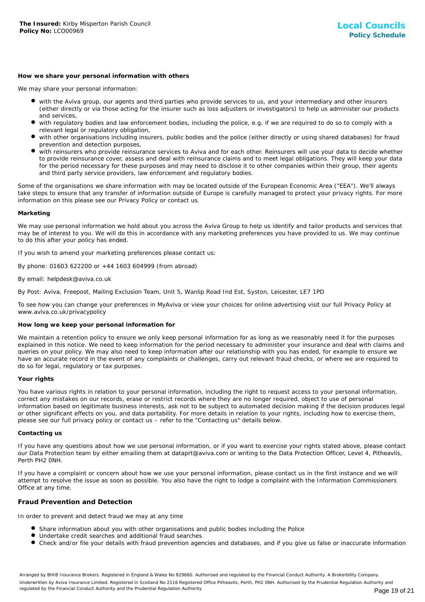#### **How we share your personal information with others**

We may share your personal information:

- with the Aviva group, our agents and third parties who provide services to us, and your intermediary and other insurers (either directly or via those acting for the insurer such as loss adjusters or investigators) to help us administer our products and services,
- with regulatory bodies and law enforcement bodies, including the police, e.g. if we are required to do so to comply with a relevant legal or regulatory obligation,
- with other organisations including insurers, public bodies and the police (either directly or using shared databases) for fraud prevention and detection purposes,
- with reinsurers who provide reinsurance services to Aviva and for each other. Reinsurers will use your data to decide whether to provide reinsurance cover, assess and deal with reinsurance claims and to meet legal obligations. They will keep your data for the period necessary for these purposes and may need to disclose it to other companies within their group, their agents and third party service providers, law enforcement and regulatory bodies.

Some of the organisations we share information with may be located outside of the European Economic Area ("EEA"). We'll always take steps to ensure that any transfer of information outside of Europe is carefully managed to protect your privacy rights. For more information on this please see our Privacy Policy or contact us.

#### **Marketing**

We may use personal information we hold about you across the Aviva Group to help us identify and tailor products and services that may be of interest to you. We will do this in accordance with any marketing preferences you have provided to us. We may continue to do this after your policy has ended.

If you wish to amend your marketing preferences please contact us:

By phone: 01603 622200 or +44 1603 604999 (from abroad)

## By email: helpdesk@aviva.co.uk

By Post: Aviva, Freepost, Mailing Exclusion Team, Unit 5, Wanlip Road Ind Est, Syston, Leicester, LE7 1PD

To see how you can change your preferences in MyAviva or view your choices for online advertising visit our full Privacy Policy at www.aviva.co.uk/privacypolicy

## **How long we keep your personal information for**

We maintain a retention policy to ensure we only keep personal information for as long as we reasonably need it for the purposes explained in this notice. We need to keep information for the period necessary to administer your insurance and deal with claims and queries on your policy. We may also need to keep information after our relationship with you has ended, for example to ensure we have an accurate record in the event of any complaints or challenges, carry out relevant fraud checks, or where we are required to do so for legal, regulatory or tax purposes.

## **Your rights**

You have various rights in relation to your personal information, including the right to request access to your personal information, correct any mistakes on our records, erase or restrict records where they are no longer required, object to use of personal information based on legitimate business interests, ask not to be subject to automated decision making if the decision produces legal or other significant effects on you, and data portability. For more details in relation to your rights, including how to exercise them, please see our full privacy policy or contact us – refer to the "Contacting us" details below.

#### **Contacting us**

If you have any questions about how we use personal information, or if you want to exercise your rights stated above, please contact our Data Protection team by either emailing them at dataprt@aviva.com or writing to the Data Protection Officer, Level 4, Pitheavlis, Perth PH2 0NH.

If you have a complaint or concern about how we use your personal information, please contact us in the first instance and we will attempt to resolve the issue as soon as possible. You also have the right to lodge a complaint with the Information Commissioners Office at any time.

## **Fraud Prevention and Detection**

In order to prevent and detect fraud we may at any time

- **Share information about you with other organisations and public bodies including the Police**
- Undertake credit searches and additional fraud searches
- Check and/or file your details with fraud prevention agencies and databases, and if you give us false or inaccurate information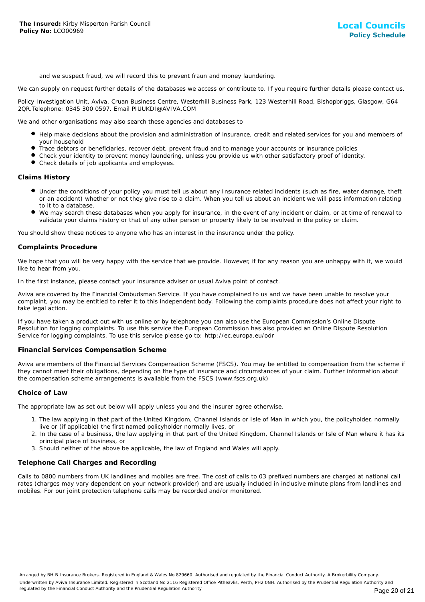and we suspect fraud, we will record this to prevent fraun and money laundering.

We can supply on request further details of the databases we access or contribute to. If you require further details please contact us.

Policy Investigation Unit, Aviva, Cruan Business Centre, Westerhill Business Park, 123 Westerhill Road, Bishopbriggs, Glasgow, G64 2QR.Telephone: 0345 300 0597. Email PIUUKDI@AVIVA.COM

We and other organisations may also search these agencies and databases to

- Help make decisions about the provision and administration of insurance, credit and related services for you and members of your household
- Trace debtors or beneficiaries, recover debt, prevent fraud and to manage your accounts or insurance policies
- Check your identity to prevent money laundering, unless you provide us with other satisfactory proof of identity.
- Check details of job applicants and employees.

## **Claims History**

- Under the conditions of your policy you must tell us about any Insurance related incidents (such as fire, water damage, theft or an accident) whether or not they give rise to a claim. When you tell us about an incident we will pass information relating to it to a database.
- We may search these databases when you apply for insurance, in the event of any incident or claim, or at time of renewal to validate your claims history or that of any other person or property likely to be involved in the policy or claim.

You should show these notices to anyone who has an interest in the insurance under the policy.

## **Complaints Procedure**

We hope that you will be very happy with the service that we provide. However, if for any reason you are unhappy with it, we would like to hear from you.

In the first instance, please contact your insurance adviser or usual Aviva point of contact.

Aviva are covered by the Financial Ombudsman Service. If you have complained to us and we have been unable to resolve your complaint, you may be entitled to refer it to this independent body. Following the complaints procedure does not affect your right to take legal action.

If you have taken a product out with us online or by telephone you can also use the European Commission's Online Dispute Resolution for logging complaints. To use this service the European Commission has also provided an Online Dispute Resolution Service for logging complaints. To use this service please go to: http://ec.europa.eu/odr

#### **Financial Services Compensation Scheme**

Aviva are members of the Financial Services Compensation Scheme (FSCS). You may be entitled to compensation from the scheme if they cannot meet their obligations, depending on the type of insurance and circumstances of your claim. Further information about the compensation scheme arrangements is available from the FSCS (www.fscs.org.uk)

#### **Choice of Law**

The appropriate law as set out below will apply unless you and the insurer agree otherwise.

- 1. The law applying in that part of the United Kingdom, Channel Islands or Isle of Man in which you, the policyholder, normally live or (if applicable) the first named policyholder normally lives, or
- 2. In the case of a business, the law applying in that part of the United Kingdom, Channel Islands or Isle of Man where it has its principal place of business, or
- 3. Should neither of the above be applicable, the law of England and Wales will apply.

## **Telephone Call Charges and Recording**

Calls to 0800 numbers from UK landlines and mobiles are free. The cost of calls to 03 prefixed numbers are charged at national call rates (charges may vary dependent on your network provider) and are usually included in inclusive minute plans from landlines and mobiles. For our joint protection telephone calls may be recorded and/or monitored.